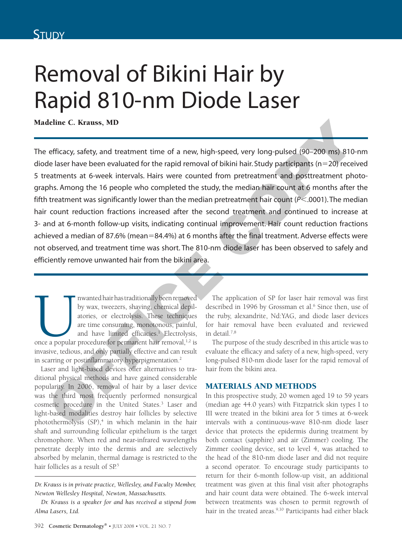# Removal of Bikini Hair by Rapid 810-nm Diode Laser

Madeline C. Krauss, MD

The efficacy, safety, and treatment time of a new, high-speed, very long-pulsed (90–200 ms) 810-nm diode laser have been evaluated for the rapid removal of bikini hair. Study participants ( $n=20$ ) received 5 treatments at 6-week intervals. Hairs were counted from pretreatment and posttreatment photographs. Among the 16 people who completed the study, the median hair count at 6 months after the fifth treatment was significantly lower than the median pretreatment hair count (*P*<.0001). The median hair count reduction fractions increased after the second treatment and continued to increase at 3- and at 6-month follow-up visits, indicating continual improvement. Hair count reduction fractions achieved a median of 87.6% (mean=84.4%) at 6 months after the final treatment. Adverse effects were not observed, and treatment time was short. The 810-nm diode laser has been observed to safely and efficiently remove unwanted hair from the bikini area. deline C. Krauss, MD<br>
efficacy, safety, and treatment time of a new, high-speed, very long-pulsed (90–200 ms) 810-<br>
ele laser have been evaluated for the rapid removal of bikini hair. Study participants (n –20) receives<br>
e

Imwanted hair has traditionally been removed<br>by wax, tweezers, shaving, chemical depil-<br>atories, or electrolysis. These techniques<br>are time consuming, monotonous, painful,<br>and have limited efficacies.<sup>1</sup> Electrolysis,<br>once by wax, tweezers, shaving, chemical depilatories, or electrolysis. These techniques are time consuming, monotonous, painful, and have limited efficacies.<sup>1</sup> Electrolysis, invasive, tedious, and only partially effective and can result in scarring or postinflammatory hyperpigmentation.<sup>2</sup>

Laser and light-based devices offer alternatives to traditional physical methods and have gained considerable popularity. In 2006, removal of hair by a laser device was the third most frequently performed nonsurgical cosmetic procedure in the United States.3 Laser and light-based modalities destroy hair follicles by selective photothermolysis (SP),<sup>4</sup> in which melanin in the hair shaft and surrounding follicular epithelium is the target chromophore. When red and near-infrared wavelengths penetrate deeply into the dermis and are selectively absorbed by melanin, thermal damage is restricted to the hair follicles as a result of SP<sup>5</sup>

*Dr. Krauss is in private practice, Wellesley, and Faculty Member, Newton Wellesley Hospital, Newton, Massachusetts.* 

The application of SP for laser hair removal was first described in 1996 by Grossman et al.<sup>6</sup> Since then, use of the ruby, alexandrite, Nd:YAG, and diode laser devices for hair removal have been evaluated and reviewed in detail.7,8

The purpose of the study described in this article was to evaluate the efficacy and safety of a new, high-speed, very long-pulsed 810-nm diode laser for the rapid removal of hair from the bikini area.

### Materials and Methods

In this prospective study, 20 women aged 19 to 59 years (median age 44.0 years) with Fitzpatrick skin types I to III were treated in the bikini area for 5 times at 6-week intervals with a continuous-wave 810-nm diode laser device that protects the epidermis during treatment by both contact (sapphire) and air (Zimmer) cooling. The Zimmer cooling device, set to level 4, was attached to the head of the 810-nm diode laser and did not require a second operator. To encourage study participants to return for their 6-month follow-up visit, an additional treatment was given at this final visit after photographs and hair count data were obtained. The 6-week interval between treatments was chosen to permit regrowth of hair in the treated areas.<sup>9,10</sup> Participants had either black

*Dr. Krauss is a speaker for and has received a stipend from Alma Lasers, Ltd.*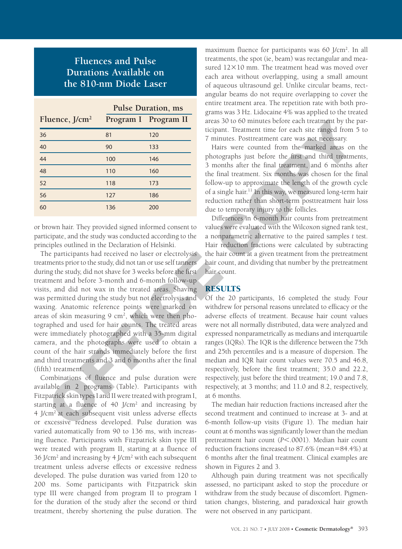# **Fluences and Pulse Durations Available on the 810-nm Diode Laser**

|                  | <b>Pulse Duration, ms</b> |                      |
|------------------|---------------------------|----------------------|
| Fluence, $J/cm2$ |                           | Program I Program II |
| 36               | 81                        | 120                  |
| 40               | 90                        | 133                  |
| 44               | 100                       | 146                  |
| 48               | 110                       | 160                  |
| 52               | 118                       | 173                  |
| 56               | 127                       | 186                  |
| 60               | 136                       | 200                  |

or brown hair. They provided signed informed consent to participate, and the study was conducted according to the principles outlined in the Declaration of Helsinki.

The participants had received no laser or electrolysis treatments prior to the study, did not tan or use self tanners during the study, did not shave for 3 weeks before the first treatment and before 3-month and 6-month follow-up visits, and did not wax in the treated areas. Shaving was permitted during the study but not electrolysis and waxing. Anatomic reference points were marked on areas of skin measuring 9 cm<sup>2</sup>, which were then photographed and used for hair counts. The treated areas were immediately photographed with a 35-mm digital camera, and the photographs were used to obtain a count of the hair strands immediately before the first and third treatments and 3 and 6 months after the final (fifth) treatment. The strength of the mass of the final temperature of the mass of the mass of the mass of the strength of the mass of the mass of the strength of the strength of the strength of the strength of the strength of the strength

Combinations of fluence and pulse duration were available in 2 programs (Table). Participants with Fitzpatrick skin types I and II were treated with program I, starting at a fluence of 40 J/cm<sup>2</sup> and increasing by 4 J/cm2 at each subsequent visit unless adverse effects or excessive redness developed. Pulse duration was varied automatically from 90 to 136 ms, with increasing fluence. Participants with Fitzpatrick skin type III were treated with program II, starting at a fluence of 36 J/cm2 and increasing by 4 J/cm2 with each subsequent treatment unless adverse effects or excessive redness developed. The pulse duration was varied from 120 to 200 ms. Some participants with Fitzpatrick skin type III were changed from program II to program I for the duration of the study after the second or third treatment, thereby shortening the pulse duration. The

maximum fluence for participants was 60 J/cm<sup>2</sup>. In all treatments, the spot (ie, beam) was rectangular and measured  $12\times10$  mm. The treatment head was moved over each area without overlapping, using a small amount of aqueous ultrasound gel. Unlike circular beams, rectangular beams do not require overlapping to cover the entire treatment area. The repetition rate with both programs was 3 Hz. Lidocaine 4% was applied to the treated areas 30 to 60 minutes before each treatment by the participant. Treatment time for each site ranged from 5 to 7 minutes. Posttreatment care was not necessary.

Hairs were counted from the marked areas on the photographs just before the first and third treatments, 3 months after the final treatment, and 6 months after the final treatment. Six months was chosen for the final follow-up to approximate the length of the growth cycle of a single hair.11 In this way, we measured long-term hair reduction rather than short-term posttreatment hair loss due to temporary injury to the follicles.

Differences in 6-month hair counts from pretreatment values were evaluated with the Wilcoxon signed rank test, a nonparametric alternative to the paired samples *t* test. Hair reduction fractions were calculated by subtracting the hair count at a given treatment from the pretreatment hair count, and dividing that number by the pretreatment hair count.

### **RESULTS**

Of the 20 participants, 16 completed the study. Four withdrew for personal reasons unrelated to efficacy or the adverse effects of treatment. Because hair count values were not all normally distributed, data were analyzed and expressed nonparametrically as medians and interquartile ranges (IQRs). The IQR is the difference between the 75th and 25th percentiles and is a measure of dispersion. The median and IQR hair count values were 70.5 and 46.8, respectively, before the first treatment; 35.0 and 22.2, respectively, just before the third treatment; 19.0 and 7.8, respectively, at 3 months; and 11.0 and 8.2, respectively, at 6 months.

The median hair reduction fractions increased after the second treatment and continued to increase at 3- and at 6-month follow-up visits (Figure 1). The median hair count at 6 months was significantly lower than the median pretreatment hair count ( $P$ <.0001). Median hair count reduction fractions increased to  $87.6\%$  (mean= $84.4\%$ ) at 6 months after the final treatment. Clinical examples are shown in Figures 2 and 3.

Although pain during treatment was not specifically assessed, no participant asked to stop the procedure or withdraw from the study because of discomfort. Pigmentation changes, blistering, and paradoxical hair growth were not observed in any participant.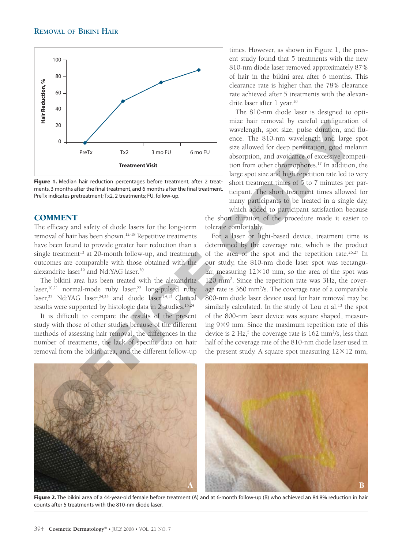

Figure 1. Median hair reduction percentages before treatment, after 2 treatments, 3 months after the final treatment, and 6 months after the final treatment. PreTx indicates pretreatment; Tx2, 2 treatments; FU, follow-up.

### **COMMENT**

The efficacy and safety of diode lasers for the long-term removal of hair has been shown.12-18 Repetitive treatments have been found to provide greater hair reduction than a single treatment<sup>13</sup> at 20-month follow-up, and treatment outcomes are comparable with those obtained with the alexandrite laser<sup>19</sup> and Nd:YAG laser.<sup>20</sup>

The bikini area has been treated with the alexandrite laser,<sup>10,21</sup> normal-mode ruby laser,<sup>22</sup> long-pulsed ruby laser,<sup>23</sup> Nd:YAG laser,<sup>24,25</sup> and diode laser.<sup>14,15</sup> Clinical results were supported by histologic data in 2 studies.<sup>15,24</sup>

It is difficult to compare the results of the present study with those of other studies because of the different methods of assessing hair removal, the differences in the number of treatments, the lack of specific data on hair removal from the bikini area, and the different follow-up times. However, as shown in Figure 1, the present study found that 5 treatments with the new 810-nm diode laser removed approximately 87% of hair in the bikini area after 6 months. This clearance rate is higher than the 78% clearance rate achieved after 5 treatments with the alexandrite laser after 1 year.<sup>10</sup>

The 810-nm diode laser is designed to optimize hair removal by careful configuration of wavelength, spot size, pulse duration, and fluence. The 810-nm wavelength and large spot size allowed for deep penetration, good melanin absorption, and avoidance of excessive competition from other chromophores.17 In addition, the large spot size and high repetition rate led to very short treatment times of 5 to 7 minutes per participant. The short treatment times allowed for many participants to be treated in a single day,

which added to participant satisfaction because the short duration of the procedure made it easier to tolerate comfortably.

For a laser or light-based device, treatment time is determined by the coverage rate, which is the product of the area of the spot and the repetition rate.<sup>26,27</sup> In our study, the 810-nm diode laser spot was rectangular, measuring  $12\times10$  mm, so the area of the spot was 120 mm2 . Since the repetition rate was 3Hz, the coverage rate is 360 mm<sup>2</sup>/s. The coverage rate of a comparable 800-nm diode laser device used for hair removal may be similarly calculated. In the study of Lou et al, $^{13}$  the spot of the 800-nm laser device was square shaped, measuring 9×9 mm. Since the maximum repetition rate of this device is  $2 \text{ Hz},^5$  the coverage rate is  $162 \text{ mm}^2/\text{s}$ , less than half of the coverage rate of the 810-nm diode laser used in the present study. A square spot measuring  $12\times12$  mm,



Figure 2. The bikini area of a 44-year-old female before treatment (A) and at 6-month follow-up (B) who achieved an 84.8% reduction in hair counts after 5 treatments with the 810-nm diode laser.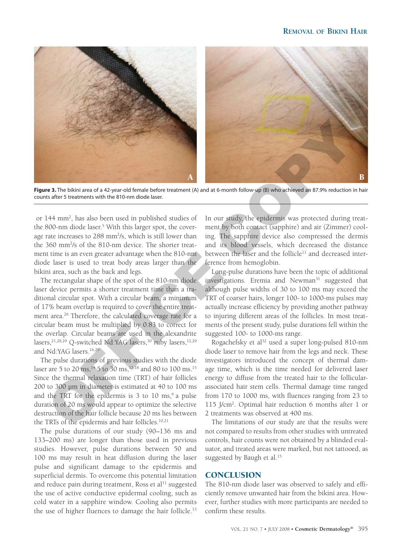

Figure 3. The bikini area of a 42-year-old female before treatment (A) and at 6-month follow-up (B) who achieved an 87.9% reduction in hair counts after 5 treatments with the 810-nm diode laser.

 or 144 mm2 , has also been used in published studies of the 800-nm diode laser.<sup>5</sup> With this larger spot, the coverage rate increases to 288 mm<sup>2</sup>/s, which is still lower than the 360 mm2 /s of the 810-nm device. The shorter treatment time is an even greater advantage when the 810-nm diode laser is used to treat body areas larger than the bikini area, such as the back and legs.

The rectangular shape of the spot of the 810-nm diode laser device permits a shorter treatment time than a traditional circular spot. With a circular beam, a minimum of 17% beam overlap is required to cover the entire treatment area.26 Therefore, the calculated coverage rate for a circular beam must be multiplied by 0.83 to correct for the overlap. Circular beams are used in the alexandrite lasers,<sup>21,28,29</sup> Q-switched Nd:YAG lasers,<sup>30</sup> ruby lasers,<sup>12,29</sup> and Nd:YAG lasers.<sup>16,29</sup>

The pulse durations of previous studies with the diode laser are 5 to 20 ms, <sup>14</sup> 5 to 30 ms, <sup>13,18</sup> and 80 to 100 ms.<sup>15</sup> Since the thermal relaxation time (TRT) of hair follicles 200 to 300 µm in diameter is estimated at 40 to 100 ms and the TRT for the epidermis is  $3$  to  $10 \text{ ms}$ ,  $6 \text{ a pulse}$ duration of 20 ms would appear to optimize the selective destruction of the hair follicle because 20 ms lies between the TRTs of the epidermis and hair follicles.<sup>10,21</sup>

The pulse durations of our study (90–136 ms and 133–200 ms) are longer than those used in previous studies. However, pulse durations between 50 and 100 ms may result in heat diffusion during the laser pulse and significant damage to the epidermis and superficial dermis. To overcome this potential limitation and reduce pain during treatment, Ross et al<sup>11</sup> suggested the use of active conductive epidermal cooling, such as cold water in a sapphire window. Cooling also permits the use of higher fluences to damage the hair follicle.15

In our study, the epidermis was protected during treatment by both contact (sapphire) and air (Zimmer) cooling. The sapphire device also compressed the dermis and its blood vessels, which decreased the distance between the laser and the follicle<sup>11</sup> and decreased interference from hemoglobin.

Long-pulse durations have been the topic of additional investigations. Eremia and Newman<sup>31</sup> suggested that although pulse widths of 30 to 100 ms may exceed the TRT of coarser hairs, longer 100- to 1000-ms pulses may actually increase efficiency by providing another pathway to injuring different areas of the follicles. In most treatments of the present study, pulse durations fell within the suggested 100- to 1000-ms range.

Rogachefsky et al<sup>32</sup> used a super long-pulsed 810-nm diode laser to remove hair from the legs and neck. These investigators introduced the concept of thermal damage time, which is the time needed for delivered laser energy to diffuse from the treated hair to the follicularassociated hair stem cells. Thermal damage time ranged from 170 to 1000 ms, with fluences ranging from 23 to 115 J/cm2 . Optimal hair reduction 6 months after 1 or 2 treatments was observed at 400 ms.

The limitations of our study are that the results were not compared to results from other studies with untreated controls, hair counts were not obtained by a blinded evaluator, and treated areas were marked, but not tattooed, as suggested by Baugh et al.<sup>15</sup>

#### **CONCLUSION**

The 810-nm diode laser was observed to safely and efficiently remove unwanted hair from the bikini area. However, further studies with more participants are needed to confirm these results.